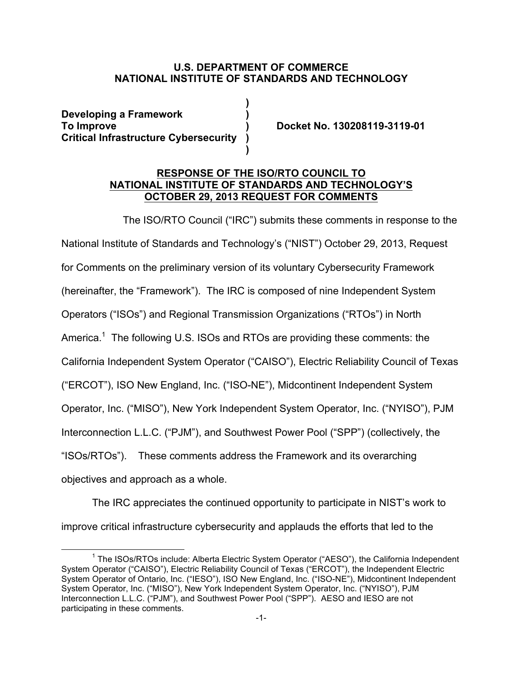## **U.S. DEPARTMENT OF COMMERCE NATIONAL INSTITUTE OF STANDARDS AND TECHNOLOGY**

**)** 

**)** 

 **Developing a Framework ) Critical Infrastructure Cybersecurity ) To Improve ) Docket No. 130208119-3119-01** 

## **RESPONSE OF THE ISO/RTO COUNCIL TO OCTOBER 29, 2013 REQUEST FOR COMMENTS NATIONAL INSTITUTE OF STANDARDS AND TECHNOLOGY'S**

The ISO/RTO Council ("IRC") submits these comments in response to the

 National Institute of Standards and Technology's ("NIST") October 29, 2013, Request for Comments on the preliminary version of its voluntary Cybersecurity Framework (hereinafter, the "Framework"). The IRC is composed of nine Independent System Operators ("ISOs") and Regional Transmission Organizations ("RTOs") in North America.<sup>1</sup> The following U.S. ISOs and RTOs are providing these comments: the California Independent System Operator ("CAISO"), Electric Reliability Council of Texas ("ERCOT"), ISO New England, Inc. ("ISO-NE"), Midcontinent Independent System Operator, Inc. ("MISO"), New York Independent System Operator, Inc. ("NYISO"), PJM Interconnection L.L.C. ("PJM"), and Southwest Power Pool ("SPP") (collectively, the "ISOs/RTOs"). These comments address the Framework and its overarching objectives and approach as a whole.

 The IRC appreciates the continued opportunity to participate in NIST's work to improve critical infrastructure cybersecurity and applauds the efforts that led to the

 $\overline{a}$ <sup>1</sup> The ISOs/RTOs include: Alberta Electric System Operator ("AESO"), the California Independent System Operator ("CAISO"), Electric Reliability Council of Texas ("ERCOT"), the Independent Electric System Operator of Ontario, Inc. ("IESO"), ISO New England, Inc. ("ISO-NE"), Midcontinent Independent System Operator, Inc. ("MISO"), New York Independent System Operator, Inc. ("NYISO"), PJM Interconnection L.L.C. ("PJM"), and Southwest Power Pool ("SPP"). AESO and IESO are not participating in these comments.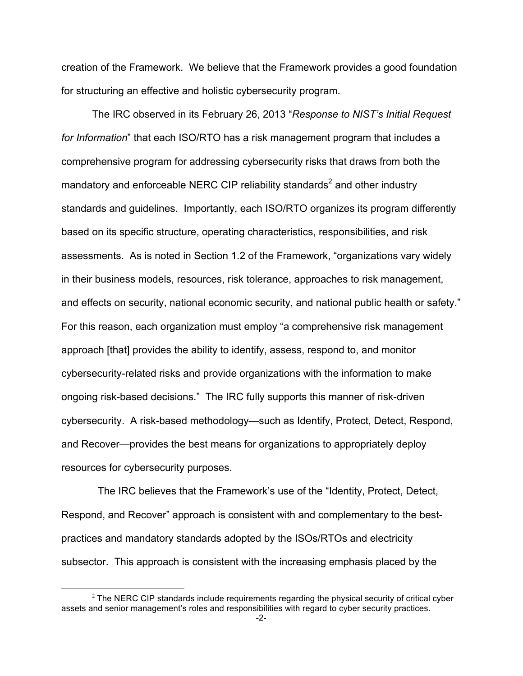creation of the Framework. We believe that the Framework provides a good foundation for structuring an effective and holistic cybersecurity program.

 The IRC observed in its February 26, 2013 "*Response to NIST's Initial Request for Information*" that each ISO/RTO has a risk management program that includes a comprehensive program for addressing cybersecurity risks that draws from both the mandatory and enforceable NERC CIP reliability standards<sup>2</sup> and other industry standards and guidelines. Importantly, each ISO/RTO organizes its program differently based on its specific structure, operating characteristics, responsibilities, and risk assessments. As is noted in Section 1.2 of the Framework, "organizations vary widely in their business models, resources, risk tolerance, approaches to risk management, and effects on security, national economic security, and national public health or safety." For this reason, each organization must employ "a comprehensive risk management approach [that] provides the ability to identify, assess, respond to, and monitor cybersecurity-related risks and provide organizations with the information to make ongoing risk-based decisions." The IRC fully supports this manner of risk-driven cybersecurity. A risk-based methodology—such as Identify, Protect, Detect, Respond, and Recover—provides the best means for organizations to appropriately deploy resources for cybersecurity purposes.

 Respond, and Recover" approach is consistent with and complementary to the best- practices and mandatory standards adopted by the ISOs/RTOs and electricity subsector. This approach is consistent with the increasing emphasis placed by the The IRC believes that the Framework's use of the "Identity, Protect, Detect,

 $\overline{a}$ 

 $2$  The NERC CIP standards include requirements regarding the physical security of critical cyber assets and senior management's roles and responsibilities with regard to cyber security practices.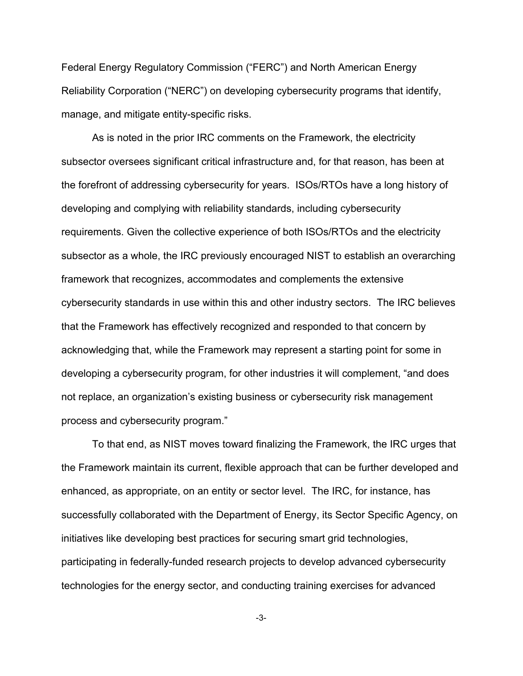Federal Energy Regulatory Commission ("FERC") and North American Energy Reliability Corporation ("NERC") on developing cybersecurity programs that identify, manage, and mitigate entity-specific risks.

 As is noted in the prior IRC comments on the Framework, the electricity subsector oversees significant critical infrastructure and, for that reason, has been at the forefront of addressing cybersecurity for years. ISOs/RTOs have a long history of developing and complying with reliability standards, including cybersecurity requirements. Given the collective experience of both ISOs/RTOs and the electricity subsector as a whole, the IRC previously encouraged NIST to establish an overarching framework that recognizes, accommodates and complements the extensive cybersecurity standards in use within this and other industry sectors. The IRC believes that the Framework has effectively recognized and responded to that concern by acknowledging that, while the Framework may represent a starting point for some in developing a cybersecurity program, for other industries it will complement, "and does not replace, an organization's existing business or cybersecurity risk management process and cybersecurity program."

 the Framework maintain its current, flexible approach that can be further developed and enhanced, as appropriate, on an entity or sector level. The IRC, for instance, has successfully collaborated with the Department of Energy, its Sector Specific Agency, on initiatives like developing best practices for securing smart grid technologies, participating in federally-funded research projects to develop advanced cybersecurity technologies for the energy sector, and conducting training exercises for advanced To that end, as NIST moves toward finalizing the Framework, the IRC urges that

-3-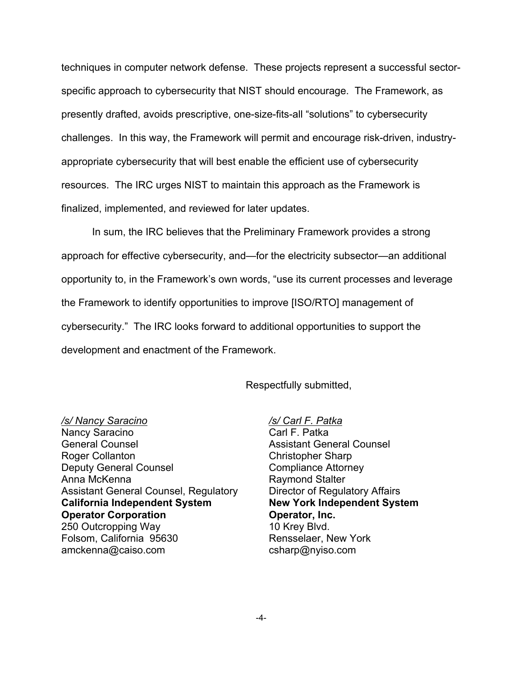techniques in computer network defense. These projects represent a successful sector- specific approach to cybersecurity that NIST should encourage. The Framework, as presently drafted, avoids prescriptive, one-size-fits-all "solutions" to cybersecurity challenges. In this way, the Framework will permit and encourage risk-driven, industry- appropriate cybersecurity that will best enable the efficient use of cybersecurity resources. The IRC urges NIST to maintain this approach as the Framework is finalized, implemented, and reviewed for later updates.

 In sum, the IRC believes that the Preliminary Framework provides a strong approach for effective cybersecurity, and—for the electricity subsector—an additional opportunity to, in the Framework's own words, "use its current processes and leverage the Framework to identify opportunities to improve [ISO/RTO] management of cybersecurity." The IRC looks forward to additional opportunities to support the development and enactment of the Framework.

## Respectfully submitted,

 Nancy Saracino General Counsel Deputy General Counsel Anna McKenna Assistant General Counsel, Regulatory 250 Outcropping Way Folsom, California 95630 */s/ Nancy Saracino*  Roger Collanton **California Independent System Operator Corporation**  amckenna@caiso.com

 */s/ Carl F. Patka*   **New York Independent System**  Carl F. Patka Assistant General Counsel Christopher Sharp Compliance Attorney Raymond Stalter Director of Regulatory Affairs **Operator, Inc.**  10 Krey Blvd. Rensselaer, New York csharp@nyiso.com